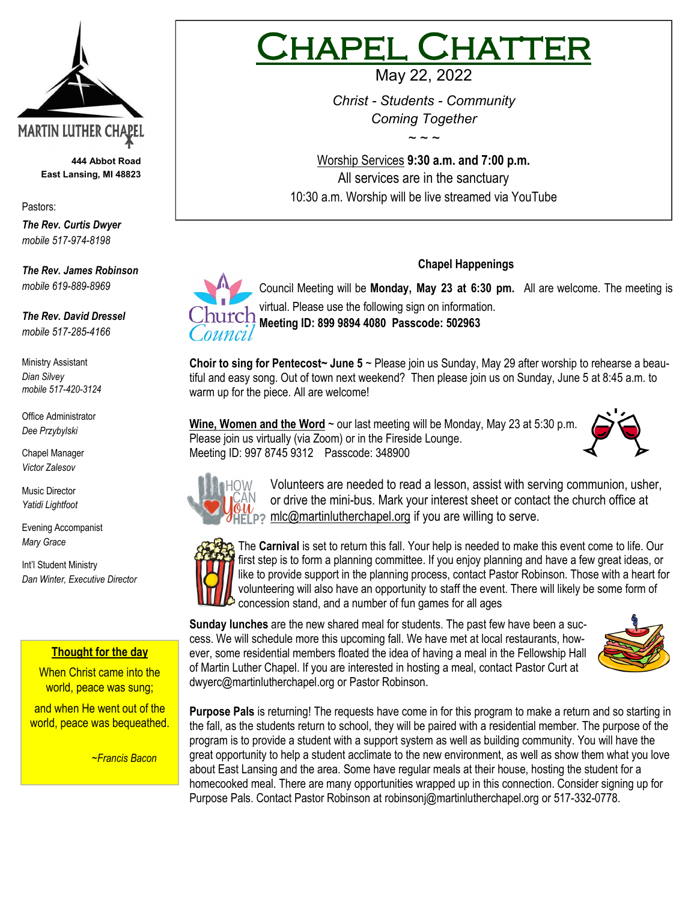

**444 Abbot Road East Lansing, MI 48823**

Pastors:

*The Rev. Curtis Dwyer mobile 517-974-8198*

*The Rev. James Robinson mobile 619-889-8969*

*The Rev. David Dressel mobile 517-285-4166*

Ministry Assistant *Dian Silvey mobile 517-420-3124*

Office Administrator *Dee Przybylski*

Chapel Manager *Victor Zalesov*

Music Director *Yatidi Lightfoot* 

Evening Accompanist *Mary Grace*

Int'l Student Ministry *Dan Winter, Executive Director*

# **Thought for the day**

When Christ came into the world, peace was sung;

and when He went out of the world, peace was bequeathed.

*~Francis Bacon*

# PEL CHAT

May 22, 2022

*Christ - Students - Community Coming Together*

*~ ~ ~*

Worship Services **9:30 a.m. and 7:00 p.m.**  All services are in the sanctuary 10:30 a.m. Worship will be live streamed via YouTube

Council Meeting will be **Monday, May 23 at 6:30 pm.** All are welcome. The meeting is virtual. Please use the following sign on information. **Meeting ID: 899 9894 4080 Passcode: 502963** 

**Chapel Happenings**

**Choir to sing for Pentecost~ June 5** ~ Please join us Sunday, May 29 after worship to rehearse a beautiful and easy song. Out of town next weekend? Then please join us on Sunday, June 5 at 8:45 a.m. to warm up for the piece. All are welcome!

Wine, Women and the Word ~ our last meeting will be Monday, May 23 at 5:30 p.m. Please join us virtually (via Zoom) or in the Fireside Lounge. Meeting ID: 997 8745 9312 Passcode: 348900





Volunteers are needed to read a lesson, assist with serving communion, usher, or drive the mini-bus. Mark your interest sheet or contact the church office at 2 mlc@martinlutherchapel.org if you are willing to serve.



The **Carnival** is set to return this fall. Your help is needed to make this event come to life. Our first step is to form a planning committee. If you enjoy planning and have a few great ideas, or like to provide support in the planning process, contact Pastor Robinson. Those with a heart for volunteering will also have an opportunity to staff the event. There will likely be some form of concession stand, and a number of fun games for all ages

**Sunday lunches** are the new shared meal for students. The past few have been a success. We will schedule more this upcoming fall. We have met at local restaurants, however, some residential members floated the idea of having a meal in the Fellowship Hall of Martin Luther Chapel. If you are interested in hosting a meal, contact Pastor Curt at [dwyerc@martinlutherchapel.org](mailto:dwyerc@martinlutherchapel.org) or Pastor Robinson.



**Purpose Pals** is returning! The requests have come in for this program to make a return and so starting in the fall, as the students return to school, they will be paired with a residential member. The purpose of the program is to provide a student with a support system as well as building community. You will have the great opportunity to help a student acclimate to the new environment, as well as show them what you love about East Lansing and the area. Some have regular meals at their house, hosting the student for a homecooked meal. There are many opportunities wrapped up in this connection. Consider signing up for Purpose Pals. Contact Pastor Robinson at [robinsonj@martinlutherchapel.org](mailto:robinsonj@martinlutherchapel.org) or 517-332-0778.